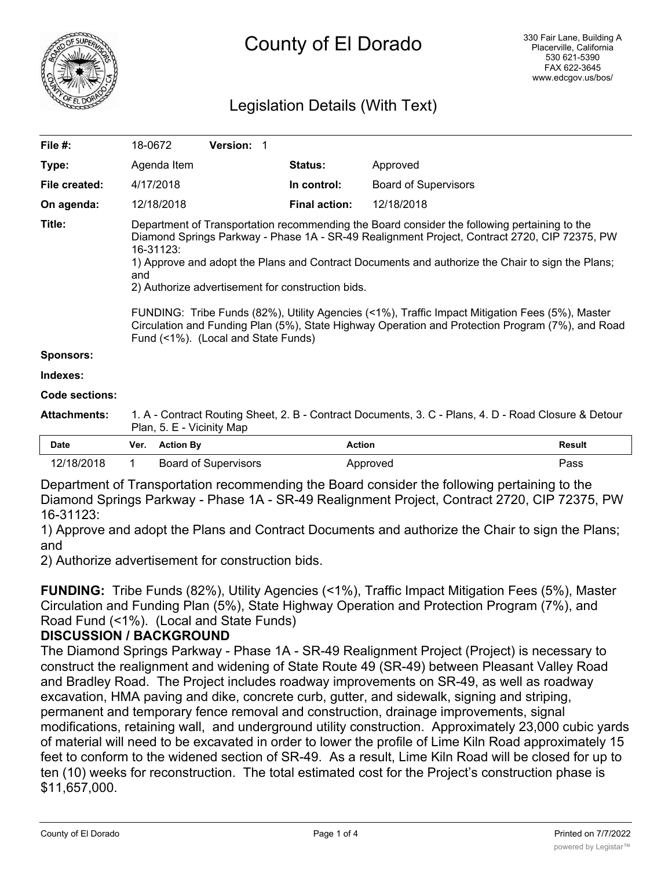

# Legislation Details (With Text)

| File #:             | 18-0672                                                                                                                                                                                                                                                                                                                                                                                                                                                                                                                                                                                                                 | Version: 1 |                      |                             |               |
|---------------------|-------------------------------------------------------------------------------------------------------------------------------------------------------------------------------------------------------------------------------------------------------------------------------------------------------------------------------------------------------------------------------------------------------------------------------------------------------------------------------------------------------------------------------------------------------------------------------------------------------------------------|------------|----------------------|-----------------------------|---------------|
| Type:               | Agenda Item                                                                                                                                                                                                                                                                                                                                                                                                                                                                                                                                                                                                             |            | <b>Status:</b>       | Approved                    |               |
| File created:       | 4/17/2018                                                                                                                                                                                                                                                                                                                                                                                                                                                                                                                                                                                                               |            | In control:          | <b>Board of Supervisors</b> |               |
| On agenda:          | 12/18/2018                                                                                                                                                                                                                                                                                                                                                                                                                                                                                                                                                                                                              |            | <b>Final action:</b> | 12/18/2018                  |               |
| Title:              | Department of Transportation recommending the Board consider the following pertaining to the<br>Diamond Springs Parkway - Phase 1A - SR-49 Realignment Project, Contract 2720, CIP 72375, PW<br>16-31123:<br>1) Approve and adopt the Plans and Contract Documents and authorize the Chair to sign the Plans;<br>and<br>2) Authorize advertisement for construction bids.<br>FUNDING: Tribe Funds (82%), Utility Agencies (<1%), Traffic Impact Mitigation Fees (5%), Master<br>Circulation and Funding Plan (5%), State Highway Operation and Protection Program (7%), and Road<br>Fund (<1%). (Local and State Funds) |            |                      |                             |               |
| <b>Sponsors:</b>    |                                                                                                                                                                                                                                                                                                                                                                                                                                                                                                                                                                                                                         |            |                      |                             |               |
| Indexes:            |                                                                                                                                                                                                                                                                                                                                                                                                                                                                                                                                                                                                                         |            |                      |                             |               |
| Code sections:      |                                                                                                                                                                                                                                                                                                                                                                                                                                                                                                                                                                                                                         |            |                      |                             |               |
| <b>Attachments:</b> | 1. A - Contract Routing Sheet, 2. B - Contract Documents, 3. C - Plans, 4. D - Road Closure & Detour<br>Plan, 5. E - Vicinity Map                                                                                                                                                                                                                                                                                                                                                                                                                                                                                       |            |                      |                             |               |
| <b>Date</b>         | <b>Action By</b><br>Ver.                                                                                                                                                                                                                                                                                                                                                                                                                                                                                                                                                                                                |            | <b>Action</b>        |                             | <b>Result</b> |

Department of Transportation recommending the Board consider the following pertaining to the Diamond Springs Parkway - Phase 1A - SR-49 Realignment Project, Contract 2720, CIP 72375, PW 16-31123:

12/18/2018 1 Board of Supervisors **Approved** Approved Pass

1) Approve and adopt the Plans and Contract Documents and authorize the Chair to sign the Plans; and

2) Authorize advertisement for construction bids.

**FUNDING:** Tribe Funds (82%), Utility Agencies (<1%), Traffic Impact Mitigation Fees (5%), Master Circulation and Funding Plan (5%), State Highway Operation and Protection Program (7%), and Road Fund (<1%). (Local and State Funds)

### **DISCUSSION / BACKGROUND**

The Diamond Springs Parkway - Phase 1A - SR-49 Realignment Project (Project) is necessary to construct the realignment and widening of State Route 49 (SR-49) between Pleasant Valley Road and Bradley Road. The Project includes roadway improvements on SR-49, as well as roadway excavation, HMA paving and dike, concrete curb, gutter, and sidewalk, signing and striping, permanent and temporary fence removal and construction, drainage improvements, signal modifications, retaining wall, and underground utility construction. Approximately 23,000 cubic yards of material will need to be excavated in order to lower the profile of Lime Kiln Road approximately 15 feet to conform to the widened section of SR-49. As a result, Lime Kiln Road will be closed for up to ten (10) weeks for reconstruction. The total estimated cost for the Project's construction phase is \$11,657,000.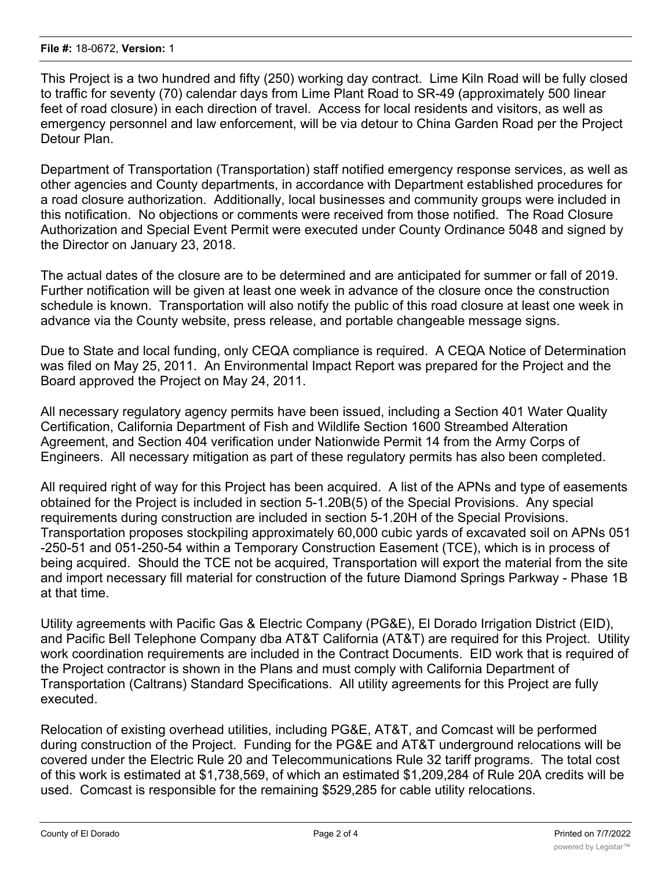This Project is a two hundred and fifty (250) working day contract. Lime Kiln Road will be fully closed to traffic for seventy (70) calendar days from Lime Plant Road to SR-49 (approximately 500 linear feet of road closure) in each direction of travel. Access for local residents and visitors, as well as emergency personnel and law enforcement, will be via detour to China Garden Road per the Project Detour Plan.

Department of Transportation (Transportation) staff notified emergency response services, as well as other agencies and County departments, in accordance with Department established procedures for a road closure authorization. Additionally, local businesses and community groups were included in this notification. No objections or comments were received from those notified. The Road Closure Authorization and Special Event Permit were executed under County Ordinance 5048 and signed by the Director on January 23, 2018.

The actual dates of the closure are to be determined and are anticipated for summer or fall of 2019. Further notification will be given at least one week in advance of the closure once the construction schedule is known. Transportation will also notify the public of this road closure at least one week in advance via the County website, press release, and portable changeable message signs.

Due to State and local funding, only CEQA compliance is required. A CEQA Notice of Determination was filed on May 25, 2011. An Environmental Impact Report was prepared for the Project and the Board approved the Project on May 24, 2011.

All necessary regulatory agency permits have been issued, including a Section 401 Water Quality Certification, California Department of Fish and Wildlife Section 1600 Streambed Alteration Agreement, and Section 404 verification under Nationwide Permit 14 from the Army Corps of Engineers. All necessary mitigation as part of these regulatory permits has also been completed.

All required right of way for this Project has been acquired. A list of the APNs and type of easements obtained for the Project is included in section 5-1.20B(5) of the Special Provisions. Any special requirements during construction are included in section 5-1.20H of the Special Provisions. Transportation proposes stockpiling approximately 60,000 cubic yards of excavated soil on APNs 051 -250-51 and 051-250-54 within a Temporary Construction Easement (TCE), which is in process of being acquired. Should the TCE not be acquired, Transportation will export the material from the site and import necessary fill material for construction of the future Diamond Springs Parkway - Phase 1B at that time.

Utility agreements with Pacific Gas & Electric Company (PG&E), El Dorado Irrigation District (EID), and Pacific Bell Telephone Company dba AT&T California (AT&T) are required for this Project. Utility work coordination requirements are included in the Contract Documents. EID work that is required of the Project contractor is shown in the Plans and must comply with California Department of Transportation (Caltrans) Standard Specifications. All utility agreements for this Project are fully executed.

Relocation of existing overhead utilities, including PG&E, AT&T, and Comcast will be performed during construction of the Project. Funding for the PG&E and AT&T underground relocations will be covered under the Electric Rule 20 and Telecommunications Rule 32 tariff programs. The total cost of this work is estimated at \$1,738,569, of which an estimated \$1,209,284 of Rule 20A credits will be used. Comcast is responsible for the remaining \$529,285 for cable utility relocations.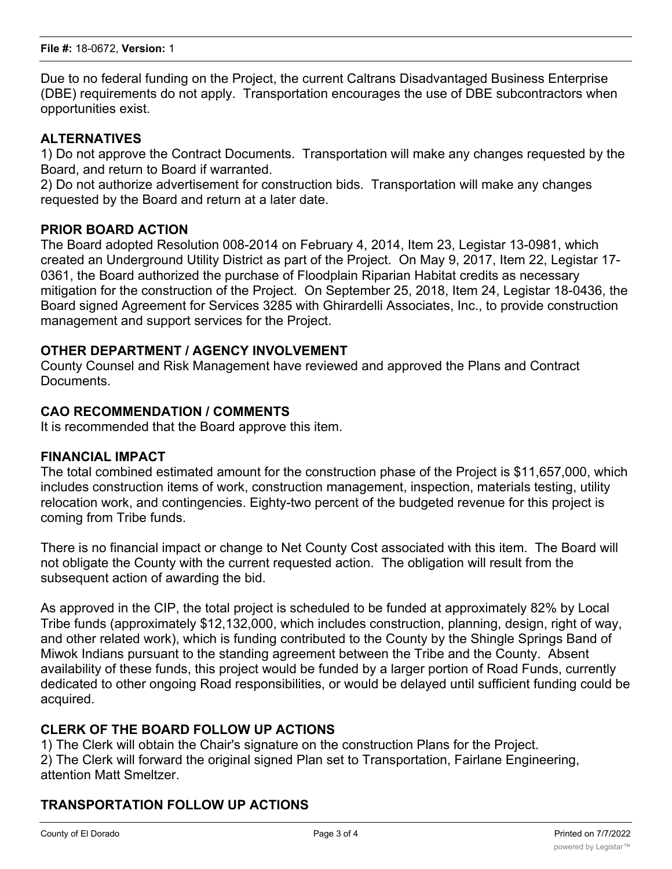Due to no federal funding on the Project, the current Caltrans Disadvantaged Business Enterprise (DBE) requirements do not apply. Transportation encourages the use of DBE subcontractors when opportunities exist.

# **ALTERNATIVES**

1) Do not approve the Contract Documents. Transportation will make any changes requested by the Board, and return to Board if warranted.

2) Do not authorize advertisement for construction bids. Transportation will make any changes requested by the Board and return at a later date.

### **PRIOR BOARD ACTION**

The Board adopted Resolution 008-2014 on February 4, 2014, Item 23, Legistar 13-0981, which created an Underground Utility District as part of the Project. On May 9, 2017, Item 22, Legistar 17- 0361, the Board authorized the purchase of Floodplain Riparian Habitat credits as necessary mitigation for the construction of the Project. On September 25, 2018, Item 24, Legistar 18-0436, the Board signed Agreement for Services 3285 with Ghirardelli Associates, Inc., to provide construction management and support services for the Project.

### **OTHER DEPARTMENT / AGENCY INVOLVEMENT**

County Counsel and Risk Management have reviewed and approved the Plans and Contract Documents.

### **CAO RECOMMENDATION / COMMENTS**

It is recommended that the Board approve this item.

#### **FINANCIAL IMPACT**

The total combined estimated amount for the construction phase of the Project is \$11,657,000, which includes construction items of work, construction management, inspection, materials testing, utility relocation work, and contingencies. Eighty-two percent of the budgeted revenue for this project is coming from Tribe funds.

There is no financial impact or change to Net County Cost associated with this item. The Board will not obligate the County with the current requested action. The obligation will result from the subsequent action of awarding the bid.

As approved in the CIP, the total project is scheduled to be funded at approximately 82% by Local Tribe funds (approximately \$12,132,000, which includes construction, planning, design, right of way, and other related work), which is funding contributed to the County by the Shingle Springs Band of Miwok Indians pursuant to the standing agreement between the Tribe and the County. Absent availability of these funds, this project would be funded by a larger portion of Road Funds, currently dedicated to other ongoing Road responsibilities, or would be delayed until sufficient funding could be acquired.

#### **CLERK OF THE BOARD FOLLOW UP ACTIONS**

1) The Clerk will obtain the Chair's signature on the construction Plans for the Project. 2) The Clerk will forward the original signed Plan set to Transportation, Fairlane Engineering, attention Matt Smeltzer.

### **TRANSPORTATION FOLLOW UP ACTIONS**